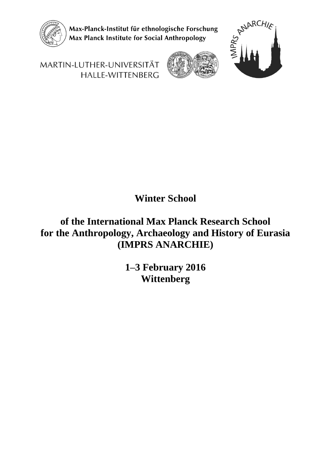

Max-Planck-Institut für ethnologische Forschung Max Planck Institute for Social Anthropology



MARTIN-LUTHER-UNIVERSITÄT HALLE-WITTENBERG

# **Winter School**

## **of the International Max Planck Research School for the Anthropology, Archaeology and History of Eurasia (IMPRS ANARCHIE)**

**1–3 February 2016 Wittenberg**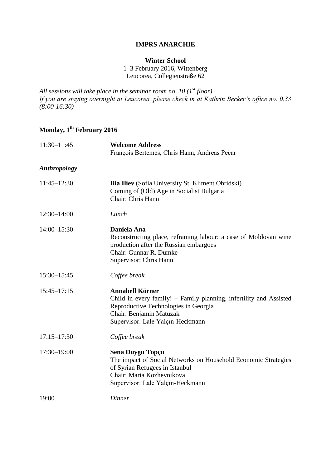#### **IMPRS ANARCHIE**

#### **Winter School**

1–3 February 2016, Wittenberg Leucorea, Collegienstraße 62

*All sessions will take place in the seminar room no. 10 (1st floor) If you are staying overnight at Leucorea, please check in at Kathrin Becker's office no. 0.33 (8:00-16:30)*

### **Monday, 1th February 2016**

| $11:30 - 11:45$     | <b>Welcome Address</b><br>François Bertemes, Chris Hann, Andreas Pečar                                                                                                                              |
|---------------------|-----------------------------------------------------------------------------------------------------------------------------------------------------------------------------------------------------|
| <b>Anthropology</b> |                                                                                                                                                                                                     |
| $11:45 - 12:30$     | <b>Ilia Iliev</b> (Sofia University St. Kliment Ohridski)<br>Coming of (Old) Age in Socialist Bulgaria<br>Chair: Chris Hann                                                                         |
| $12:30 - 14:00$     | Lunch                                                                                                                                                                                               |
| $14:00 - 15:30$     | Daniela Ana<br>Reconstructing place, reframing labour: a case of Moldovan wine<br>production after the Russian embargoes<br>Chair: Gunnar R. Dumke<br>Supervisor: Chris Hann                        |
| 15:30-15:45         | Coffee break                                                                                                                                                                                        |
| $15:45 - 17:15$     | <b>Annabell Körner</b><br>Child in every family! - Family planning, infertility and Assisted<br>Reproductive Technologies in Georgia<br>Chair: Benjamin Matuzak<br>Supervisor: Lale Yalçın-Heckmann |
| $17:15 - 17:30$     | Coffee break                                                                                                                                                                                        |
| $17:30 - 19:00$     | Sena Duygu Topçu<br>The impact of Social Networks on Household Economic Strategies<br>of Syrian Refugees in Istanbul<br>Chair: Maria Kozhevnikova<br>Supervisor: Lale Yalçın-Heckmann               |
| 19:00               | Dinner                                                                                                                                                                                              |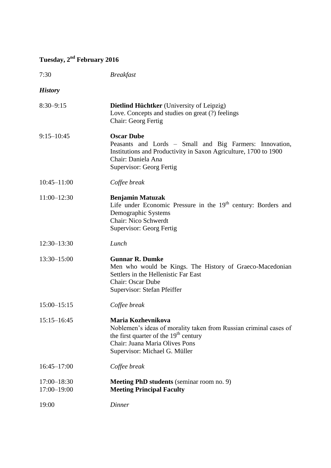# **Tuesday, 2nd February 2016**

| 7:30                           | <b>Breakfast</b>                                                                                                                                                                                      |
|--------------------------------|-------------------------------------------------------------------------------------------------------------------------------------------------------------------------------------------------------|
| <b>History</b>                 |                                                                                                                                                                                                       |
| $8:30 - 9:15$                  | <b>Dietlind Hüchtker</b> (University of Leipzig)<br>Love. Concepts and studies on great (?) feelings<br>Chair: Georg Fertig                                                                           |
| $9:15 - 10:45$                 | <b>Oscar Dube</b><br>Peasants and Lords - Small and Big Farmers: Innovation,<br>Institutions and Productivity in Saxon Agriculture, 1700 to 1900<br>Chair: Daniela Ana<br>Supervisor: Georg Fertig    |
| $10:45 - 11:00$                | Coffee break                                                                                                                                                                                          |
| $11:00 - 12:30$                | <b>Benjamin Matuzak</b><br>Life under Economic Pressure in the 19 <sup>th</sup> century: Borders and<br>Demographic Systems<br>Chair: Nico Schwerdt<br>Supervisor: Georg Fertig                       |
| $12:30 - 13:30$                | Lunch                                                                                                                                                                                                 |
| 13:30-15:00                    | <b>Gunnar R. Dumke</b><br>Men who would be Kings. The History of Graeco-Macedonian<br>Settlers in the Hellenistic Far East<br><b>Chair: Oscar Dube</b><br>Supervisor: Stefan Pfeiffer                 |
| $15:00 - 15:15$                | Coffee break                                                                                                                                                                                          |
| $15:15 - 16:45$                | Maria Kozhevnikova<br>Noblemen's ideas of morality taken from Russian criminal cases of<br>the first quarter of the $19th$ century<br>Chair: Juana Maria Olives Pons<br>Supervisor: Michael G. Müller |
| $16:45 - 17:00$                | Coffee break                                                                                                                                                                                          |
| $17:00 - 18:30$<br>17:00-19:00 | <b>Meeting PhD students</b> (seminar room no. 9)<br><b>Meeting Principal Faculty</b>                                                                                                                  |
| 19:00                          | <b>Dinner</b>                                                                                                                                                                                         |